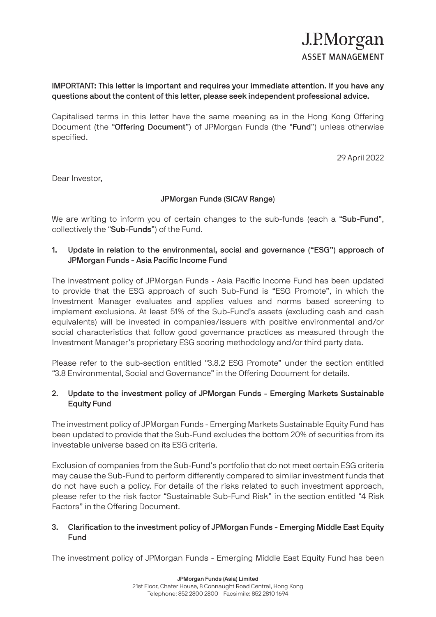## IMPORTANT: This letter is important and requires your immediate attention. If you have any questions about the content of this letter, please seek independent professional advice.

Capitalised terms in this letter have the same meaning as in the Hong Kong Offering Document (the "Offering Document") of JPMorgan Funds (the "Fund") unless otherwise specified.

29 April 2022

Dear Investor,

## JPMorgan Funds (SICAV Range)

We are writing to inform you of certain changes to the sub-funds (each a "Sub-Fund", collectively the "Sub-Funds") of the Fund.

## 1. Update in relation to the environmental, social and governance ("ESG") approach of JPMorgan Funds - Asia Pacific Income Fund

The investment policy of JPMorgan Funds - Asia Pacific Income Fund has been updated to provide that the ESG approach of such Sub-Fund is "ESG Promote", in which the Investment Manager evaluates and applies values and norms based screening to implement exclusions. At least 51% of the Sub-Fund's assets (excluding cash and cash equivalents) will be invested in companies/issuers with positive environmental and/or social characteristics that follow good governance practices as measured through the Investment Manager's proprietary ESG scoring methodology and/or third party data.

Please refer to the sub-section entitled "3.8.2 ESG Promote" under the section entitled "3.8 Environmental, Social and Governance" in the Offering Document for details.

## 2. Update to the investment policy of JPMorgan Funds - Emerging Markets Sustainable Equity Fund

The investment policy of JPMorgan Funds - Emerging Markets Sustainable Equity Fund has been updated to provide that the Sub-Fund excludes the bottom 20% of securities from its investable universe based on its ESG criteria.

Exclusion of companies from the Sub-Fund's portfolio that do not meet certain ESG criteria may cause the Sub-Fund to perform differently compared to similar investment funds that do not have such a policy. For details of the risks related to such investment approach, please refer to the risk factor "Sustainable Sub-Fund Risk" in the section entitled "4 Risk Factors" in the Offering Document.

## 3. Clarification to the investment policy of JPMorgan Funds - Emerging Middle East Equity Fund

The investment policy of JPMorgan Funds - Emerging Middle East Equity Fund has been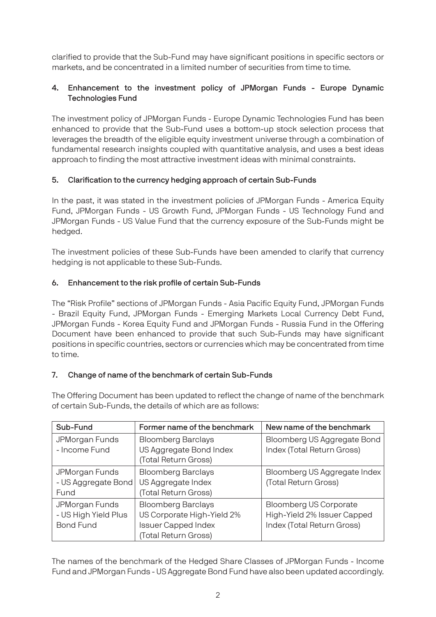clarified to provide that the Sub-Fund may have significant positions in specific sectors or markets, and be concentrated in a limited number of securities from time to time.

# 4. Enhancement to the investment policy of JPMorgan Funds - Europe Dynamic Technologies Fund

The investment policy of JPMorgan Funds - Europe Dynamic Technologies Fund has been enhanced to provide that the Sub-Fund uses a bottom-up stock selection process that leverages the breadth of the eligible equity investment universe through a combination of fundamental research insights coupled with quantitative analysis, and uses a best ideas approach to finding the most attractive investment ideas with minimal constraints.

# 5. Clarification to the currency hedging approach of certain Sub-Funds

In the past, it was stated in the investment policies of JPMorgan Funds - America Equity Fund, JPMorgan Funds - US Growth Fund, JPMorgan Funds - US Technology Fund and JPMorgan Funds - US Value Fund that the currency exposure of the Sub-Funds might be hedged.

The investment policies of these Sub-Funds have been amended to clarify that currency hedging is not applicable to these Sub-Funds.

# 6. Enhancement to the risk profile of certain Sub-Funds

The "Risk Profile" sections of JPMorgan Funds - Asia Pacific Equity Fund, JPMorgan Funds - Brazil Equity Fund, JPMorgan Funds - Emerging Markets Local Currency Debt Fund, JPMorgan Funds - Korea Equity Fund and JPMorgan Funds - Russia Fund in the Offering Document have been enhanced to provide that such Sub-Funds may have significant positions in specific countries, sectors or currencies which may be concentrated from time to time.

# 7. Change of name of the benchmark of certain Sub-Funds

The Offering Document has been updated to reflect the change of name of the benchmark of certain Sub-Funds, the details of which are as follows:

| Sub-Fund                                                   | Former name of the benchmark                                                                                  | New name of the benchmark                                                                  |
|------------------------------------------------------------|---------------------------------------------------------------------------------------------------------------|--------------------------------------------------------------------------------------------|
| JPMorgan Funds<br>- Income Fund                            | <b>Bloomberg Barclays</b><br>US Aggregate Bond Index<br>(Total Return Gross)                                  | Bloomberg US Aggregate Bond<br>Index (Total Return Gross)                                  |
| JPMorgan Funds<br>- US Aggregate Bond<br>Fund              | <b>Bloomberg Barclays</b><br>US Aggregate Index<br>(Total Return Gross)                                       | Bloomberg US Aggregate Index<br>(Total Return Gross)                                       |
| JPMorgan Funds<br>- US High Yield Plus<br><b>Bond Fund</b> | <b>Bloomberg Barclays</b><br>US Corporate High-Yield 2%<br><b>Issuer Capped Index</b><br>(Total Return Gross) | <b>Bloomberg US Corporate</b><br>High-Yield 2% Issuer Capped<br>Index (Total Return Gross) |

The names of the benchmark of the Hedged Share Classes of JPMorgan Funds - Income Fund and JPMorgan Funds - US Aggregate Bond Fund have also been updated accordingly.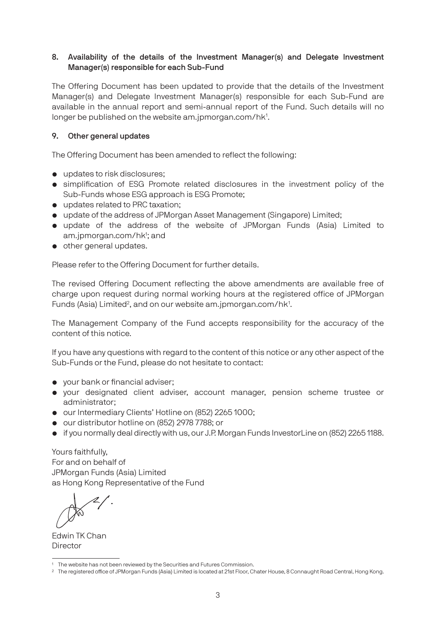## 8. Availability of the details of the Investment Manager(s) and Delegate Investment Manager(s) responsible for each Sub-Fund

The Offering Document has been updated to provide that the details of the Investment Manager(s) and Delegate Investment Manager(s) responsible for each Sub-Fund are available in the annual report and semi-annual report of the Fund. Such details will no longer be published on the website am.jpmorgan.com/hk<sup>1</sup>.

### 9. Other general updates

The Offering Document has been amended to reflect the following:

- updates to risk disclosures;
- simplification of ESG Promote related disclosures in the investment policy of the Sub-Funds whose ESG approach is ESG Promote;
- updates related to PRC taxation;
- update of the address of JPMorgan Asset Management (Singapore) Limited;
- update of the address of the website of JPMorgan Funds (Asia) Limited to am.jpmorgan.com/hk<sup>1</sup>; and
- other general updates.

Please refer to the Offering Document for further details.

The revised Offering Document reflecting the above amendments are available free of charge upon request during normal working hours at the registered office of JPMorgan Funds (Asia) Limited<sup>2</sup>, and on our website am.jpmorgan.com/hk<sup>1</sup>.

The Management Company of the Fund accepts responsibility for the accuracy of the content of this notice.

If you have any questions with regard to the content of this notice or any other aspect of the Sub-Funds or the Fund, please do not hesitate to contact:

- your bank or financial adviser;
- your designated client adviser, account manager, pension scheme trustee or administrator;
- our Intermediary Clients' Hotline on (852) 2265 1000;
- our distributor hotline on (852) 2978 7788; or
- if you normally deal directly with us, our J.P. Morgan Funds InvestorLine on (852) 2265 1188.

Yours faithfully, For and on behalf of JPMorgan Funds (Asia) Limited as Hong Kong Representative of the Fund

Edwin TK Chan **Director** 

<sup>&</sup>lt;sup>1</sup> The website has not been reviewed by the Securities and Futures Commission.

<sup>&</sup>lt;sup>2</sup> The registered office of JPMorgan Funds (Asia) Limited is located at 21st Floor, Chater House, 8 Connaught Road Central, Hong Kong.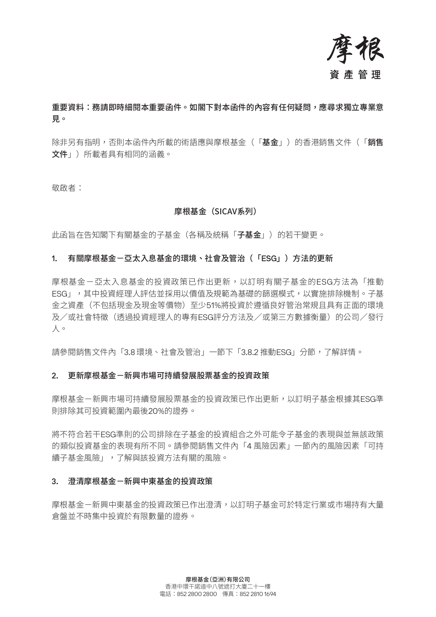

# 重要資料:務請即時細閱本重要函件。如閣下對本函件的內容有任何疑問,應尋求獨立專業意 見。

除非另有指明,否則本函件內所載的術語應與摩根基金(「基金」)的香港銷售文件(「銷售 文件」)所載者具有相同的涵義。

敬啟者:

### 摩根基金(SICAV系列)

此函旨在告知閣下有關基金的子基金(各稱及統稱「子基金」)的若干變更。

#### 1. 有關摩根基金-亞太入息基金的環境、社會及管治(「ESG」)方法的更新

摩根基金-亞太入息基金的投資政策已作出更新,以訂明有關子基金的ESG方法為「推動 ESG」,其中投資經理人評估並採用以價值及規範為基礎的篩選模式,以實施排除機制。子基 金之資產(不包括現金及現金等價物)至少51%將投資於遵循良好管治常規且具有正面的環境 及/或社會特徵(透過投資經理人的專有ESG評分方法及/或第三方數據衡量)的公司/發行 人。

請參閱銷售文件內「3.8 環境、社會及管治」一節下「3.8.2 推動ESG」分節,了解詳情。

#### 2. 更新摩根基金-新興市場可持續發展股票基金的投資政策

摩根基金一新興市場可持續發展股票基金的投資政策已作出更新,以訂明子基金根據其FSG準 則排除其可投資範圍內最後20%的證券。

將不符合若干ESG準則的公司排除在子基金的投資組合之外可能令子基金的表現與並無該政策 的類似投資基金的表現有所不同。請參閱銷售文件內「4 風險因素」一節內的風險因素「可持 續子基金風險」,了解與該投資方法有關的風險。

#### 3. 澄清摩根基金-新興中東基金的投資政策

摩根基金一新興中東基金的投資政策已作出澄清,以訂明子基金可於特定行業或市場持有大量 倉盤並不時集中投資於有限數量的證券。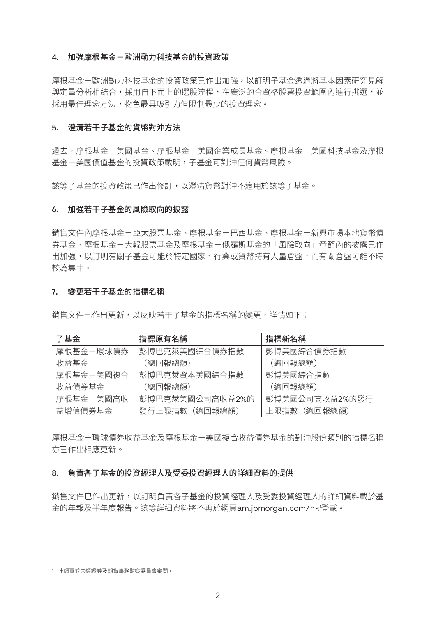### 4. 加強摩根基金-歐洲動力科技基金的投資政策

摩根基金-歐洲動力科技基金的投資政策已作出加強,以訂明子基金透過將基本因素研究見解 與定量分析相結合,採用自下而上的選股流程,在廣泛的合資格股票投資範圍內進行挑選,並 採用最佳理念方法,物色最具吸引力但限制最少的投資理念。

### 5. 澄清若干子基金的貨幣對沖方法

過去,摩根基金一美國企業成長基金、摩根基金一美國科技基金及摩根 基金-美國價值基金的投資政策載明,子基金可對沖任何貨幣風險。

該等子基金的投資政策已作出修訂,以澄清貨幣對沖不適用於該等子基金。

### 6. 加強若干子基金的風險取向的披露

銷售文件內摩根基金-亞太股票基金、摩根基金-巴西基金、摩根基金-新興市場本地貨幣債 券基金、摩根基金-大韓股票基金及摩根基金-俄羅斯基金的「風險取向」章節內的披露已作 出加強,以訂明有關子基金可能於特定國家、行業或貨幣持有大量倉盤,而有關倉盤可能不時 較為集中。

#### 7. 變更若干子基金的指標名稱

銷售文件已作出更新,以反映若干子基金的指標名稱的變更,詳情如下:

| 子基金       | 指標原有名稱          | 指標新名稱          |
|-----------|-----------------|----------------|
| 摩根基金-環球債券 | 彭博巴克萊美國綜合債券指數   | 彭博美國綜合債券指數     |
| 收益基金      | (總回報總額)         | (總回報總額)        |
| 摩根基金一美國複合 | 彭博巴克萊資本美國綜合指數   | 彭博美國綜合指數       |
| 收益債券基金    | (總回報總額)         | (總回報總額)        |
| 摩根基金ー美國高收 | 彭博巴克萊美國公司高收益2%的 | 彭博美國公司高收益2%的發行 |
| 益增值債券基金   | 發行上限指數 (總回報總額)  | 上限指數 (總回報總額)   |

摩根基金-環球債券收益基金及摩根基金-美國複合收益債券基金的對沖股份類別的指標名稱 亦已作出相應更新。

### 8. 負責各子基金的投資經理人及受委投資經理人的詳細資料的提供

銷售文件已作出更新,以訂明負責各子基金的投資經理人及受委投資經理人的詳細資料載於基 金的年報及半年度報告。該等詳細資料將不再於網頁am.jpmorgan.com/hk1 登載。

<sup>1</sup> 此網頁並未經證券及期貨事務監察委員會審閱。